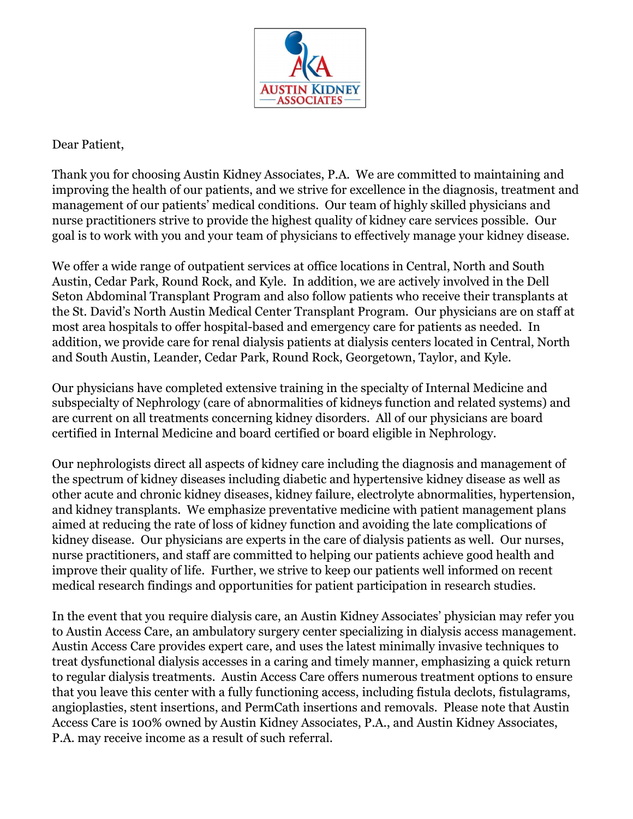

## Dear Patient,

Thank you for choosing Austin Kidney Associates, P.A. We are committed to maintaining and improving the health of our patients, and we strive for excellence in the diagnosis, treatment and management of our patients' medical conditions. Our team of highly skilled physicians and nurse practitioners strive to provide the highest quality of kidney care services possible. Our goal is to work with you and your team of physicians to effectively manage your kidney disease.

We offer a wide range of outpatient services at office locations in Central, North and South Austin, Cedar Park, Round Rock, and Kyle. In addition, we are actively involved in the Dell Seton Abdominal Transplant Program and also follow patients who receive their transplants at the St. David's North Austin Medical Center Transplant Program. Our physicians are on staff at most area hospitals to offer hospital-based and emergency care for patients as needed. In addition, we provide care for renal dialysis patients at dialysis centers located in Central, North and South Austin, Leander, Cedar Park, Round Rock, Georgetown, Taylor, and Kyle.

Our physicians have completed extensive training in the specialty of Internal Medicine and subspecialty of Nephrology (care of abnormalities of kidneys function and related systems) and are current on all treatments concerning kidney disorders. All of our physicians are board certified in Internal Medicine and board certified or board eligible in Nephrology.

Our nephrologists direct all aspects of kidney care including the diagnosis and management of the spectrum of kidney diseases including diabetic and hypertensive kidney disease as well as other acute and chronic kidney diseases, kidney failure, electrolyte abnormalities, hypertension, and kidney transplants. We emphasize preventative medicine with patient management plans aimed at reducing the rate of loss of kidney function and avoiding the late complications of kidney disease. Our physicians are experts in the care of dialysis patients as well. Our nurses, nurse practitioners, and staff are committed to helping our patients achieve good health and improve their quality of life. Further, we strive to keep our patients well informed on recent medical research findings and opportunities for patient participation in research studies.

In the event that you require dialysis care, an Austin Kidney Associates' physician may refer you to Austin Access Care, an ambulatory surgery center specializing in dialysis access management. Austin Access Care provides expert care, and uses the latest minimally invasive techniques to treat dysfunctional dialysis accesses in a caring and timely manner, emphasizing a quick return to regular dialysis treatments. Austin Access Care offers numerous treatment options to ensure that you leave this center with a fully functioning access, including fistula declots, fistulagrams, angioplasties, stent insertions, and PermCath insertions and removals. Please note that Austin Access Care is 100% owned by Austin Kidney Associates, P.A., and Austin Kidney Associates, P.A. may receive income as a result of such referral.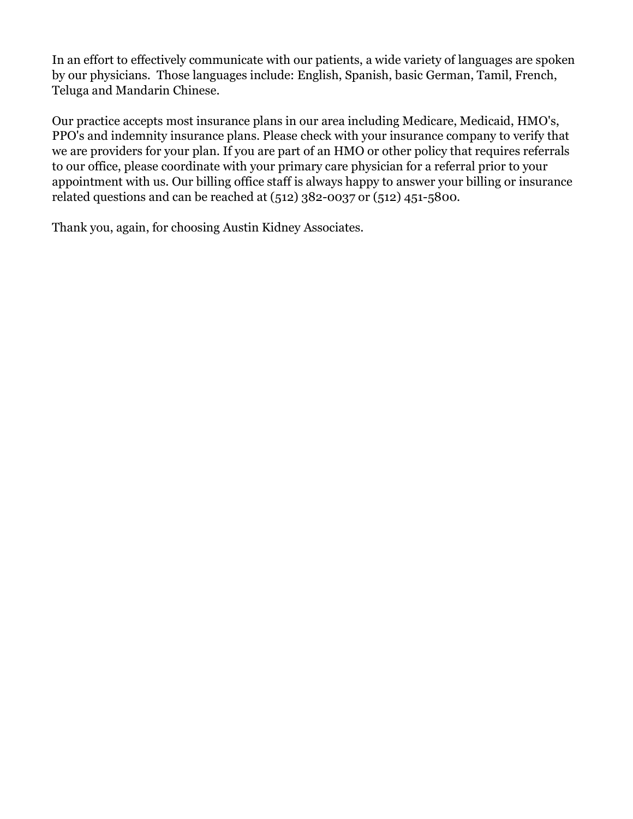In an effort to effectively communicate with our patients, a wide variety of languages are spoken by our physicians. Those languages include: English, Spanish, basic German, Tamil, French, Teluga and Mandarin Chinese.

Our practice accepts most insurance plans in our area including Medicare, Medicaid, HMO's, PPO's and indemnity insurance plans. Please check with your insurance company to verify that we are providers for your plan. If you are part of an HMO or other policy that requires referrals to our office, please coordinate with your primary care physician for a referral prior to your appointment with us. Our billing office staff is always happy to answer your billing or insurance related questions and can be reached at (512) 382-0037 or (512) 451-5800.

Thank you, again, for choosing Austin Kidney Associates.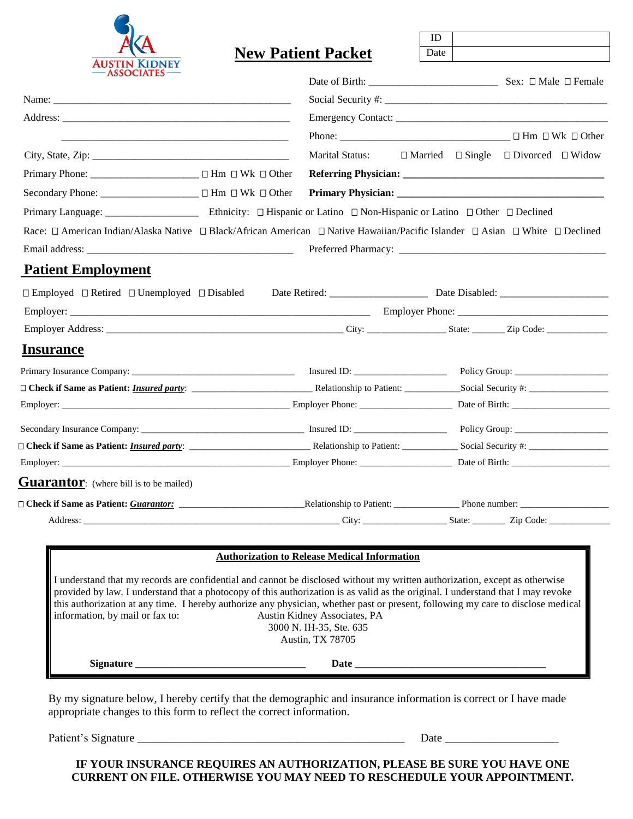

|                                                                                                                                                                                                                                                                                                                                                                                                                                        |           |                                                                             | ID   |                                                           |  |
|----------------------------------------------------------------------------------------------------------------------------------------------------------------------------------------------------------------------------------------------------------------------------------------------------------------------------------------------------------------------------------------------------------------------------------------|-----------|-----------------------------------------------------------------------------|------|-----------------------------------------------------------|--|
| <b>AUSTIN KIDNEY</b>                                                                                                                                                                                                                                                                                                                                                                                                                   |           | <b>New Patient Packet</b>                                                   | Date |                                                           |  |
| <b>ASSOCIATES-</b>                                                                                                                                                                                                                                                                                                                                                                                                                     |           |                                                                             |      |                                                           |  |
|                                                                                                                                                                                                                                                                                                                                                                                                                                        |           |                                                                             |      |                                                           |  |
|                                                                                                                                                                                                                                                                                                                                                                                                                                        |           |                                                                             |      |                                                           |  |
|                                                                                                                                                                                                                                                                                                                                                                                                                                        |           |                                                                             |      |                                                           |  |
|                                                                                                                                                                                                                                                                                                                                                                                                                                        |           | <b>Marital Status:</b>                                                      |      | $\Box$ Married $\Box$ Single $\Box$ Divorced $\Box$ Widow |  |
|                                                                                                                                                                                                                                                                                                                                                                                                                                        |           |                                                                             |      |                                                           |  |
|                                                                                                                                                                                                                                                                                                                                                                                                                                        |           |                                                                             |      |                                                           |  |
|                                                                                                                                                                                                                                                                                                                                                                                                                                        |           |                                                                             |      |                                                           |  |
| Race: □ American Indian/Alaska Native □ Black/African American □ Native Hawaiian/Pacific Islander □ Asian □ White □ Declined                                                                                                                                                                                                                                                                                                           |           |                                                                             |      |                                                           |  |
|                                                                                                                                                                                                                                                                                                                                                                                                                                        |           |                                                                             |      |                                                           |  |
| <b>Patient Employment</b>                                                                                                                                                                                                                                                                                                                                                                                                              |           |                                                                             |      |                                                           |  |
|                                                                                                                                                                                                                                                                                                                                                                                                                                        |           |                                                                             |      |                                                           |  |
|                                                                                                                                                                                                                                                                                                                                                                                                                                        |           |                                                                             |      |                                                           |  |
|                                                                                                                                                                                                                                                                                                                                                                                                                                        |           |                                                                             |      |                                                           |  |
| <b>Insurance</b>                                                                                                                                                                                                                                                                                                                                                                                                                       |           |                                                                             |      |                                                           |  |
|                                                                                                                                                                                                                                                                                                                                                                                                                                        |           |                                                                             |      |                                                           |  |
|                                                                                                                                                                                                                                                                                                                                                                                                                                        |           |                                                                             |      |                                                           |  |
|                                                                                                                                                                                                                                                                                                                                                                                                                                        |           |                                                                             |      |                                                           |  |
|                                                                                                                                                                                                                                                                                                                                                                                                                                        |           |                                                                             |      |                                                           |  |
|                                                                                                                                                                                                                                                                                                                                                                                                                                        |           |                                                                             |      |                                                           |  |
|                                                                                                                                                                                                                                                                                                                                                                                                                                        |           |                                                                             |      |                                                           |  |
| <b>Guarantor:</b> (where bill is to be mailed)                                                                                                                                                                                                                                                                                                                                                                                         |           |                                                                             |      |                                                           |  |
|                                                                                                                                                                                                                                                                                                                                                                                                                                        |           |                                                                             |      |                                                           |  |
|                                                                                                                                                                                                                                                                                                                                                                                                                                        |           |                                                                             |      |                                                           |  |
|                                                                                                                                                                                                                                                                                                                                                                                                                                        |           |                                                                             |      |                                                           |  |
|                                                                                                                                                                                                                                                                                                                                                                                                                                        |           | <b>Authorization to Release Medical Information</b>                         |      |                                                           |  |
| I understand that my records are confidential and cannot be disclosed without my written authorization, except as otherwise<br>provided by law. I understand that a photocopy of this authorization is as valid as the original. I understand that I may revoke<br>this authorization at any time. I hereby authorize any physician, whether past or present, following my care to disclose medical<br>information, by mail or fax to: |           | Austin Kidney Associates, PA<br>3000 N. IH-35, Ste. 635<br>Austin, TX 78705 |      |                                                           |  |
|                                                                                                                                                                                                                                                                                                                                                                                                                                        | Signature |                                                                             |      |                                                           |  |

By my signature below, I hereby certify that the demographic and insurance information is correct or I have made appropriate changes to this form to reflect the correct information.

Patient's Signature \_\_\_\_\_\_\_\_\_\_\_\_\_\_\_\_\_\_\_\_\_\_\_\_\_\_\_\_\_\_\_\_\_\_\_\_\_\_\_\_\_\_\_\_\_\_\_ Date \_\_\_\_\_\_\_\_\_\_\_\_\_\_\_\_\_\_\_\_

**IF YOUR INSURANCE REQUIRES AN AUTHORIZATION, PLEASE BE SURE YOU HAVE ONE CURRENT ON FILE. OTHERWISE YOU MAY NEED TO RESCHEDULE YOUR APPOINTMENT.**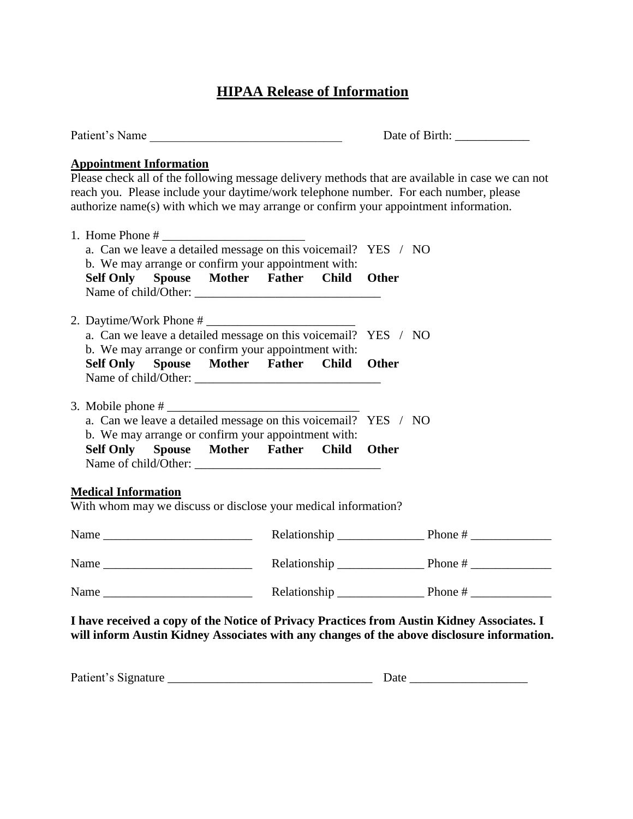# **HIPAA Release of Information**

| Patient's Name                                                                                                                                                                                                                                                                                                      |  |              |  |  |  |
|---------------------------------------------------------------------------------------------------------------------------------------------------------------------------------------------------------------------------------------------------------------------------------------------------------------------|--|--------------|--|--|--|
| <b>Appointment Information</b><br>Please check all of the following message delivery methods that are available in case we can not<br>reach you. Please include your daytime/work telephone number. For each number, please<br>authorize name(s) with which we may arrange or confirm your appointment information. |  |              |  |  |  |
| a. Can we leave a detailed message on this voicemail? YES / NO<br>b. We may arrange or confirm your appointment with:<br>Self Only Spouse Mother Father Child Other                                                                                                                                                 |  |              |  |  |  |
| a. Can we leave a detailed message on this voicemail? YES / NO<br>b. We may arrange or confirm your appointment with:<br>Self Only Spouse Mother Father Child Other                                                                                                                                                 |  |              |  |  |  |
| a. Can we leave a detailed message on this voicemail? YES / NO<br>b. We may arrange or confirm your appointment with:<br>Self Only Spouse Mother Father Child                                                                                                                                                       |  | <b>Other</b> |  |  |  |
| <b>Medical Information</b><br>With whom may we discuss or disclose your medical information?                                                                                                                                                                                                                        |  |              |  |  |  |
|                                                                                                                                                                                                                                                                                                                     |  |              |  |  |  |
|                                                                                                                                                                                                                                                                                                                     |  |              |  |  |  |
| Name                                                                                                                                                                                                                                                                                                                |  |              |  |  |  |
| I have received a copy of the Notice of Privacy Practices from Austin Kidney Associates. I<br>will inform Austin Kidney Associates with any changes of the above disclosure information.                                                                                                                            |  |              |  |  |  |
|                                                                                                                                                                                                                                                                                                                     |  |              |  |  |  |